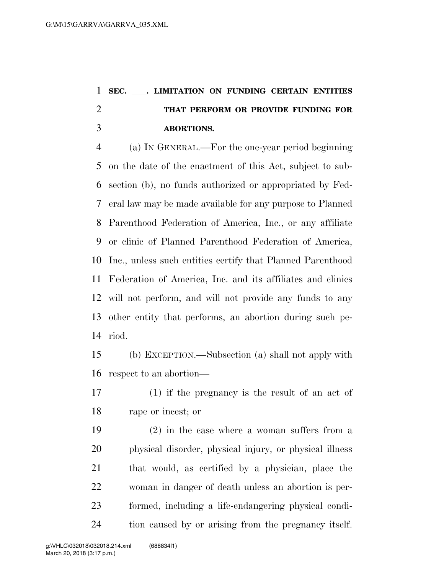## **SEC.** ll**. LIMITATION ON FUNDING CERTAIN ENTITIES THAT PERFORM OR PROVIDE FUNDING FOR ABORTIONS.**

 (a) IN GENERAL.—For the one-year period beginning on the date of the enactment of this Act, subject to sub- section (b), no funds authorized or appropriated by Fed- eral law may be made available for any purpose to Planned Parenthood Federation of America, Inc., or any affiliate or clinic of Planned Parenthood Federation of America, Inc., unless such entities certify that Planned Parenthood Federation of America, Inc. and its affiliates and clinics will not perform, and will not provide any funds to any other entity that performs, an abortion during such pe-riod.

 (b) EXCEPTION.—Subsection (a) shall not apply with respect to an abortion—

 (1) if the pregnancy is the result of an act of rape or incest; or

 (2) in the case where a woman suffers from a physical disorder, physical injury, or physical illness that would, as certified by a physician, place the woman in danger of death unless an abortion is per- formed, including a life-endangering physical condi-tion caused by or arising from the pregnancy itself.